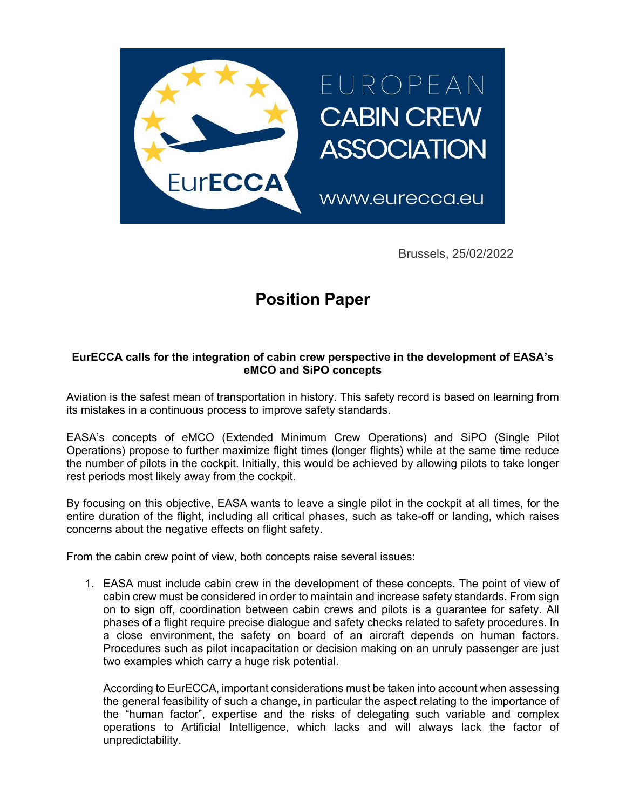

Brussels, 25/02/2022

## **Position Paper**

## **EurECCA calls for the integration of cabin crew perspective in the development of EASA's eMCO and SiPO concepts**

Aviation is the safest mean of transportation in history. This safety record is based on learning from its mistakes in a continuous process to improve safety standards.

EASA's concepts of eMCO (Extended Minimum Crew Operations) and SiPO (Single Pilot Operations) propose to further maximize flight times (longer flights) while at the same time reduce the number of pilots in the cockpit. Initially, this would be achieved by allowing pilots to take longer rest periods most likely away from the cockpit.

By focusing on this objective, EASA wants to leave a single pilot in the cockpit at all times, for the entire duration of the flight, including all critical phases, such as take-off or landing, which raises concerns about the negative effects on flight safety.

From the cabin crew point of view, both concepts raise several issues:

1. EASA must include cabin crew in the development of these concepts. The point of view of cabin crew must be considered in order to maintain and increase safety standards. From sign on to sign off, coordination between cabin crews and pilots is a guarantee for safety. All phases of a flight require precise dialogue and safety checks related to safety procedures. In a close environment, the safety on board of an aircraft depends on human factors. Procedures such as pilot incapacitation or decision making on an unruly passenger are just two examples which carry a huge risk potential.

According to EurECCA, important considerations must be taken into account when assessing the general feasibility of such a change, in particular the aspect relating to the importance of the "human factor", expertise and the risks of delegating such variable and complex operations to Artificial Intelligence, which lacks and will always lack the factor of unpredictability.